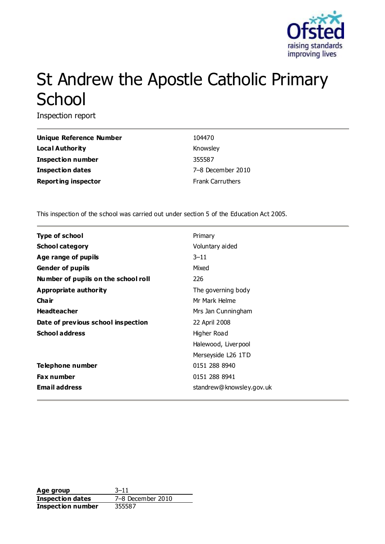

# St Andrew the Apostle Catholic Primary **School**

Inspection report

| <b>Unique Reference Number</b> | 104470                  |
|--------------------------------|-------------------------|
| <b>Local Authority</b>         | Knowsley                |
| <b>Inspection number</b>       | 355587                  |
| Inspection dates               | 7-8 December 2010       |
| <b>Reporting inspector</b>     | <b>Frank Carruthers</b> |

This inspection of the school was carried out under section 5 of the Education Act 2005.

| <b>Type of school</b>               | Primary                  |
|-------------------------------------|--------------------------|
| <b>School category</b>              | Voluntary aided          |
| Age range of pupils                 | $3 - 11$                 |
| <b>Gender of pupils</b>             | Mixed                    |
| Number of pupils on the school roll | 226                      |
| <b>Appropriate authority</b>        | The governing body       |
| Cha ir                              | Mr Mark Helme            |
| <b>Headteacher</b>                  | Mrs Jan Cunningham       |
| Date of previous school inspection  | 22 April 2008            |
| <b>School address</b>               | Higher Road              |
|                                     | Halewood, Liverpool      |
|                                     | Merseyside L26 1TD       |
| Telephone number                    | 0151 288 8940            |
| <b>Fax number</b>                   | 0151 288 8941            |
| <b>Email address</b>                | standrew@knowsley.gov.uk |

Age group 3–11 **Inspection dates** 7–8 December 2010 **Inspection number** 355587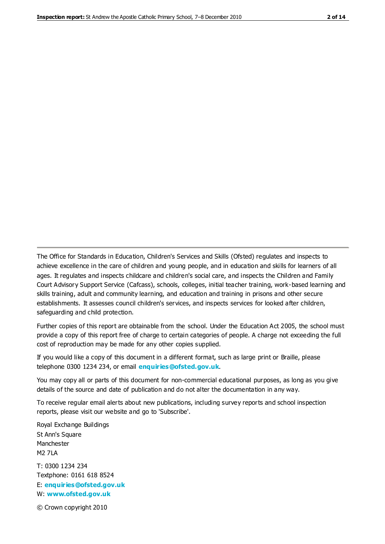The Office for Standards in Education, Children's Services and Skills (Ofsted) regulates and inspects to achieve excellence in the care of children and young people, and in education and skills for learners of all ages. It regulates and inspects childcare and children's social care, and inspects the Children and Family Court Advisory Support Service (Cafcass), schools, colleges, initial teacher training, work-based learning and skills training, adult and community learning, and education and training in prisons and other secure establishments. It assesses council children's services, and inspects services for looked after children, safeguarding and child protection.

Further copies of this report are obtainable from the school. Under the Education Act 2005, the school must provide a copy of this report free of charge to certain categories of people. A charge not exceeding the full cost of reproduction may be made for any other copies supplied.

If you would like a copy of this document in a different format, such as large print or Braille, please telephone 0300 1234 234, or email **[enquiries@ofsted.gov.uk](mailto:enquiries@ofsted.gov.uk)**.

You may copy all or parts of this document for non-commercial educational purposes, as long as you give details of the source and date of publication and do not alter the documentation in any way.

To receive regular email alerts about new publications, including survey reports and school inspection reports, please visit our website and go to 'Subscribe'.

Royal Exchange Buildings St Ann's Square Manchester M2 7LA T: 0300 1234 234 Textphone: 0161 618 8524 E: **[enquiries@ofsted.gov.uk](mailto:enquiries@ofsted.gov.uk)** W: **[www.ofsted.gov.uk](http://www.ofsted.gov.uk/)**

© Crown copyright 2010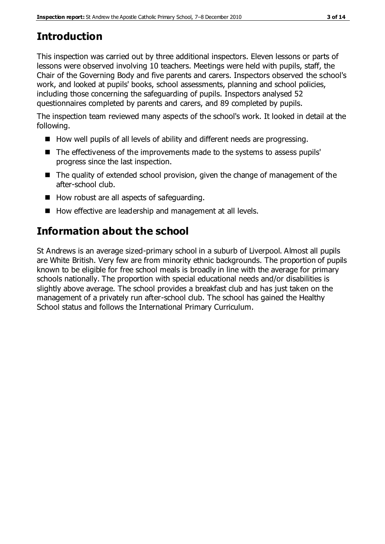# **Introduction**

This inspection was carried out by three additional inspectors. Eleven lessons or parts of lessons were observed involving 10 teachers. Meetings were held with pupils, staff, the Chair of the Governing Body and five parents and carers. Inspectors observed the school's work, and looked at pupils' books, school assessments, planning and school policies, including those concerning the safeguarding of pupils. Inspectors analysed 52 questionnaires completed by parents and carers, and 89 completed by pupils.

The inspection team reviewed many aspects of the school's work. It looked in detail at the following.

- How well pupils of all levels of ability and different needs are progressing.
- The effectiveness of the improvements made to the systems to assess pupils' progress since the last inspection.
- The quality of extended school provision, given the change of management of the after-school club.
- How robust are all aspects of safeguarding.
- How effective are leadership and management at all levels.

# **Information about the school**

St Andrews is an average sized-primary school in a suburb of Liverpool. Almost all pupils are White British. Very few are from minority ethnic backgrounds. The proportion of pupils known to be eligible for free school meals is broadly in line with the average for primary schools nationally. The proportion with special educational needs and/or disabilities is slightly above average. The school provides a breakfast club and has just taken on the management of a privately run after-school club. The school has gained the Healthy School status and follows the International Primary Curriculum.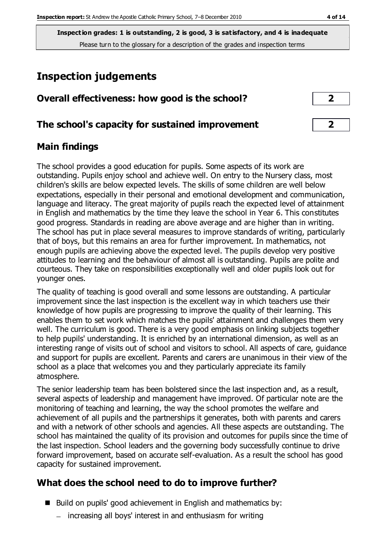**Inspection grades: 1 is outstanding, 2 is good, 3 is satisfactory, and 4 is inadequate** Please turn to the glossary for a description of the grades and inspection terms

# **Inspection judgements**

| Overall effectiveness: how good is the school? |  |
|------------------------------------------------|--|
|------------------------------------------------|--|

#### **The school's capacity for sustained improvement 2**

## **Main findings**

The school provides a good education for pupils. Some aspects of its work are outstanding. Pupils enjoy school and achieve well. On entry to the Nursery class, most children's skills are below expected levels. The skills of some children are well below expectations, especially in their personal and emotional development and communication, language and literacy. The great majority of pupils reach the expected level of attainment in English and mathematics by the time they leave the school in Year 6. This constitutes good progress. Standards in reading are above average and are higher than in writing. The school has put in place several measures to improve standards of writing, particularly that of boys, but this remains an area for further improvement. In mathematics, not enough pupils are achieving above the expected level. The pupils develop very positive attitudes to learning and the behaviour of almost all is outstanding. Pupils are polite and courteous. They take on responsibilities exceptionally well and older pupils look out for younger ones.

The quality of teaching is good overall and some lessons are outstanding. A particular improvement since the last inspection is the excellent way in which teachers use their knowledge of how pupils are progressing to improve the quality of their learning. This enables them to set work which matches the pupils' attainment and challenges them very well. The curriculum is good. There is a very good emphasis on linking subjects together to help pupils' understanding. It is enriched by an international dimension, as well as an interesting range of visits out of school and visitors to school. All aspects of care, guidance and support for pupils are excellent. Parents and carers are unanimous in their view of the school as a place that welcomes you and they particularly appreciate its family atmosphere.

The senior leadership team has been bolstered since the last inspection and, as a result, several aspects of leadership and management have improved. Of particular note are the monitoring of teaching and learning, the way the school promotes the welfare and achievement of all pupils and the partnerships it generates, both with parents and carers and with a network of other schools and agencies. All these aspects are outstanding. The school has maintained the quality of its provision and outcomes for pupils since the time of the last inspection. School leaders and the governing body successfully continue to drive forward improvement, based on accurate self-evaluation. As a result the school has good capacity for sustained improvement.

## **What does the school need to do to improve further?**

- Build on pupils' good achievement in English and mathematics by:
	- increasing all boys' interest in and enthusiasm for writing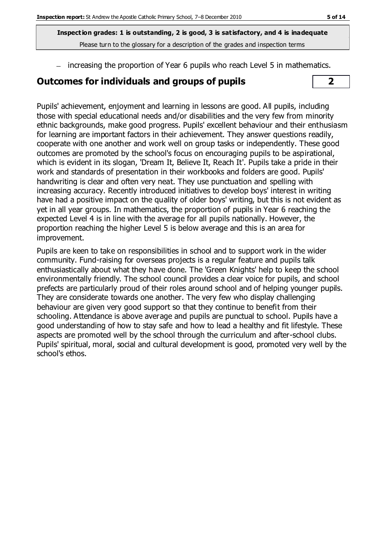**Inspection grades: 1 is outstanding, 2 is good, 3 is satisfactory, and 4 is inadequate** Please turn to the glossary for a description of the grades and inspection terms

- increasing the proportion of Year 6 pupils who reach Level 5 in mathematics.

#### **Outcomes for individuals and groups of pupils 2**



Pupils' achievement, enjoyment and learning in lessons are good. All pupils, including those with special educational needs and/or disabilities and the very few from minority ethnic backgrounds, make good progress. Pupils' excellent behaviour and their enthusiasm for learning are important factors in their achievement. They answer questions readily, cooperate with one another and work well on group tasks or independently. These good outcomes are promoted by the school's focus on encouraging pupils to be aspirational, which is evident in its slogan, 'Dream It, Believe It, Reach It'. Pupils take a pride in their work and standards of presentation in their workbooks and folders are good. Pupils' handwriting is clear and often very neat. They use punctuation and spelling with increasing accuracy. Recently introduced initiatives to develop boys' interest in writing have had a positive impact on the quality of older boys' writing, but this is not evident as yet in all year groups. In mathematics, the proportion of pupils in Year 6 reaching the expected Level 4 is in line with the average for all pupils nationally. However, the proportion reaching the higher Level 5 is below average and this is an area for improvement.

Pupils are keen to take on responsibilities in school and to support work in the wider community. Fund-raising for overseas projects is a regular feature and pupils talk enthusiastically about what they have done. The 'Green Knights' help to keep the school environmentally friendly. The school council provides a clear voice for pupils, and school prefects are particularly proud of their roles around school and of helping younger pupils. They are considerate towards one another. The very few who display challenging behaviour are given very good support so that they continue to benefit from their schooling. Attendance is above average and pupils are punctual to school. Pupils have a good understanding of how to stay safe and how to lead a healthy and fit lifestyle. These aspects are promoted well by the school through the curriculum and after-school clubs. Pupils' spiritual, moral, social and cultural development is good, promoted very well by the school's ethos.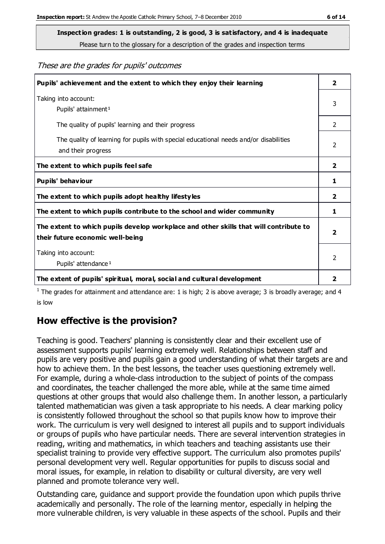**Inspection grades: 1 is outstanding, 2 is good, 3 is satisfactory, and 4 is inadequate**

Please turn to the glossary for a description of the grades and inspection terms

These are the grades for pupils' outcomes

| Pupils' achievement and the extent to which they enjoy their learning                                                     | $\overline{\mathbf{2}}$ |
|---------------------------------------------------------------------------------------------------------------------------|-------------------------|
| Taking into account:<br>Pupils' attainment <sup>1</sup>                                                                   | 3                       |
| The quality of pupils' learning and their progress                                                                        | $\mathcal{P}$           |
| The quality of learning for pupils with special educational needs and/or disabilities<br>and their progress               | $\mathcal{P}$           |
| The extent to which pupils feel safe                                                                                      | $\mathbf{2}$            |
| Pupils' behaviour                                                                                                         | 1                       |
| The extent to which pupils adopt healthy lifestyles                                                                       | 2                       |
| The extent to which pupils contribute to the school and wider community                                                   |                         |
| The extent to which pupils develop workplace and other skills that will contribute to<br>their future economic well-being |                         |
| Taking into account:<br>Pupils' attendance <sup>1</sup>                                                                   |                         |
| The extent of pupils' spiritual, moral, social and cultural development                                                   | 2                       |

<sup>1</sup> The grades for attainment and attendance are: 1 is high; 2 is above average; 3 is broadly average; and 4 is low

## **How effective is the provision?**

Teaching is good. Teachers' planning is consistently clear and their excellent use of assessment supports pupils' learning extremely well. Relationships between staff and pupils are very positive and pupils gain a good understanding of what their targets are and how to achieve them. In the best lessons, the teacher uses questioning extremely well. For example, during a whole-class introduction to the subject of points of the compass and coordinates, the teacher challenged the more able, while at the same time aimed questions at other groups that would also challenge them. In another lesson, a particularly talented mathematician was given a task appropriate to his needs. A clear marking policy is consistently followed throughout the school so that pupils know how to improve their work. The curriculum is very well designed to interest all pupils and to support individuals or groups of pupils who have particular needs. There are several intervention strategies in reading, writing and mathematics, in which teachers and teaching assistants use their specialist training to provide very effective support. The curriculum also promotes pupils' personal development very well. Regular opportunities for pupils to discuss social and moral issues, for example, in relation to disability or cultural diversity, are very well planned and promote tolerance very well.

Outstanding care, guidance and support provide the foundation upon which pupils thrive academically and personally. The role of the learning mentor, especially in helping the more vulnerable children, is very valuable in these aspects of the school. Pupils and their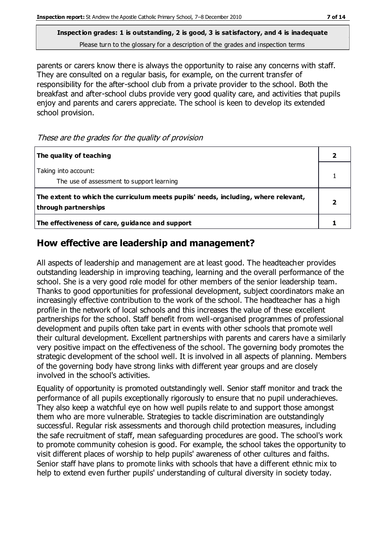**Inspection grades: 1 is outstanding, 2 is good, 3 is satisfactory, and 4 is inadequate** Please turn to the glossary for a description of the grades and inspection terms

parents or carers know there is always the opportunity to raise any concerns with staff. They are consulted on a regular basis, for example, on the current transfer of responsibility for the after-school club from a private provider to the school. Both the breakfast and after-school clubs provide very good quality care, and activities that pupils enjoy and parents and carers appreciate. The school is keen to develop its extended school provision.

These are the grades for the quality of provision

| The quality of teaching                                                                                    |  |
|------------------------------------------------------------------------------------------------------------|--|
| Taking into account:<br>The use of assessment to support learning                                          |  |
| The extent to which the curriculum meets pupils' needs, including, where relevant,<br>through partnerships |  |
| The effectiveness of care, guidance and support                                                            |  |

## **How effective are leadership and management?**

All aspects of leadership and management are at least good. The headteacher provides outstanding leadership in improving teaching, learning and the overall performance of the school. She is a very good role model for other members of the senior leadership team. Thanks to good opportunities for professional development, subject coordinators make an increasingly effective contribution to the work of the school. The headteacher has a high profile in the network of local schools and this increases the value of these excellent partnerships for the school. Staff benefit from well-organised programmes of professional development and pupils often take part in events with other schools that promote well their cultural development. Excellent partnerships with parents and carers have a similarly very positive impact on the effectiveness of the school. The governing body promotes the strategic development of the school well. It is involved in all aspects of planning. Members of the governing body have strong links with different year groups and are closely involved in the school's activities.

Equality of opportunity is promoted outstandingly well. Senior staff monitor and track the performance of all pupils exceptionally rigorously to ensure that no pupil underachieves. They also keep a watchful eye on how well pupils relate to and support those amongst them who are more vulnerable. Strategies to tackle discrimination are outstandingly successful. Regular risk assessments and thorough child protection measures, including the safe recruitment of staff, mean safeguarding procedures are good. The school's work to promote community cohesion is good. For example, the school takes the opportunity to visit different places of worship to help pupils' awareness of other cultures and faiths. Senior staff have plans to promote links with schools that have a different ethnic mix to help to extend even further pupils' understanding of cultural diversity in society today.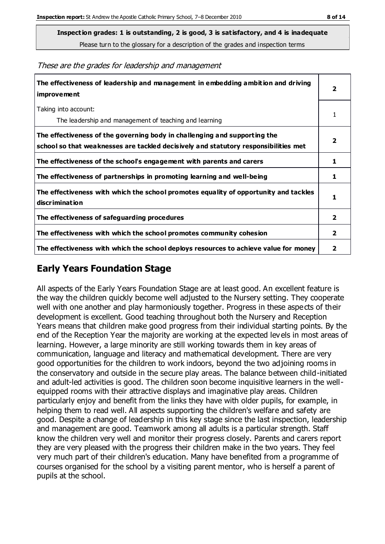Please turn to the glossary for a description of the grades and inspection terms

| The effectiveness of leadership and management in embedding ambition and driving<br>improvement                                                                  |                         |
|------------------------------------------------------------------------------------------------------------------------------------------------------------------|-------------------------|
| Taking into account:<br>The leadership and management of teaching and learning                                                                                   | 1                       |
| The effectiveness of the governing body in challenging and supporting the<br>school so that weaknesses are tackled decisively and statutory responsibilities met | $\overline{\mathbf{2}}$ |
| The effectiveness of the school's engagement with parents and carers                                                                                             | 1                       |
| The effectiveness of partnerships in promoting learning and well-being                                                                                           | 1                       |
| The effectiveness with which the school promotes equality of opportunity and tackles<br>discrimination                                                           | 1                       |
| The effectiveness of safeguarding procedures                                                                                                                     | $\overline{\mathbf{2}}$ |
| The effectiveness with which the school promotes community cohesion                                                                                              | $\overline{2}$          |
| The effectiveness with which the school deploys resources to achieve value for money                                                                             | 2                       |

## **Early Years Foundation Stage**

All aspects of the Early Years Foundation Stage are at least good. An excellent feature is the way the children quickly become well adjusted to the Nursery setting. They cooperate well with one another and play harmoniously together. Progress in these aspects of their development is excellent. Good teaching throughout both the Nursery and Reception Years means that children make good progress from their individual starting points. By the end of the Reception Year the majority are working at the expected levels in most areas of learning. However, a large minority are still working towards them in key areas of communication, language and literacy and mathematical development. There are very good opportunities for the children to work indoors, beyond the two adjoining rooms in the conservatory and outside in the secure play areas. The balance between child-initiated and adult-led activities is good. The children soon become inquisitive learners in the wellequipped rooms with their attractive displays and imaginative play areas. Children particularly enjoy and benefit from the links they have with older pupils, for example, in helping them to read well. All aspects supporting the children's welfare and safety are good. Despite a change of leadership in this key stage since the last inspection, leadership and management are good. Teamwork among all adults is a particular strength. Staff know the children very well and monitor their progress closely. Parents and carers report they are very pleased with the progress their children make in the two years. They feel very much part of their children's education. Many have benefited from a programme of courses organised for the school by a visiting parent mentor, who is herself a parent of pupils at the school.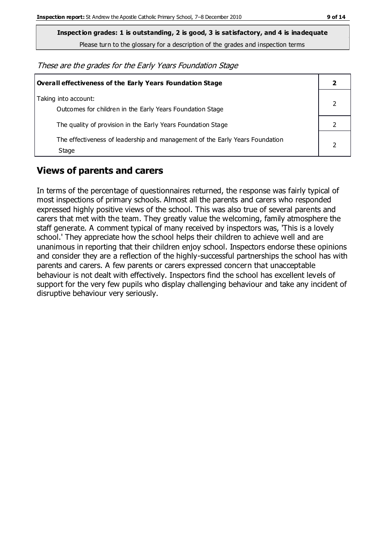**Inspection grades: 1 is outstanding, 2 is good, 3 is satisfactory, and 4 is inadequate**

Please turn to the glossary for a description of the grades and inspection terms

These are the grades for the Early Years Foundation Stage

| <b>Overall effectiveness of the Early Years Foundation Stage</b>                      |  |
|---------------------------------------------------------------------------------------|--|
| Taking into account:<br>Outcomes for children in the Early Years Foundation Stage     |  |
| The quality of provision in the Early Years Foundation Stage                          |  |
| The effectiveness of leadership and management of the Early Years Foundation<br>Stage |  |

## **Views of parents and carers**

In terms of the percentage of questionnaires returned, the response was fairly typical of most inspections of primary schools. Almost all the parents and carers who responded expressed highly positive views of the school. This was also true of several parents and carers that met with the team. They greatly value the welcoming, family atmosphere the staff generate. A comment typical of many received by inspectors was, 'This is a lovely school.' They appreciate how the school helps their children to achieve well and are unanimous in reporting that their children enjoy school. Inspectors endorse these opinions and consider they are a reflection of the highly-successful partnerships the school has with parents and carers. A few parents or carers expressed concern that unacceptable behaviour is not dealt with effectively. Inspectors find the school has excellent levels of support for the very few pupils who display challenging behaviour and take any incident of disruptive behaviour very seriously.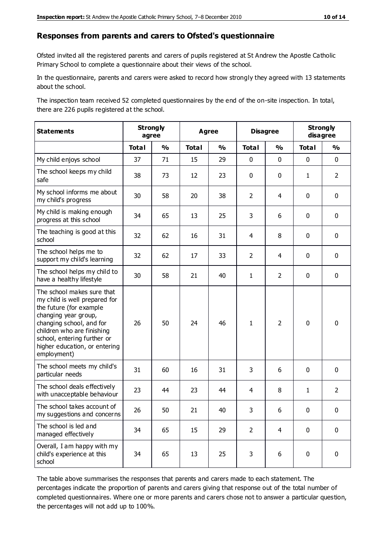#### **Responses from parents and carers to Ofsted's questionnaire**

Ofsted invited all the registered parents and carers of pupils registered at St Andrew the Apostle Catholic Primary School to complete a questionnaire about their views of the school.

In the questionnaire, parents and carers were asked to record how strongly they agreed with 13 statements about the school.

The inspection team received 52 completed questionnaires by the end of the on-site inspection. In total, there are 226 pupils registered at the school.

| <b>Statements</b>                                                                                                                                                                                                                                       | <b>Strongly</b><br>agree |               | <b>Agree</b> |               | <b>Disagree</b> | <b>Strongly</b><br>disagree |              |                |
|---------------------------------------------------------------------------------------------------------------------------------------------------------------------------------------------------------------------------------------------------------|--------------------------|---------------|--------------|---------------|-----------------|-----------------------------|--------------|----------------|
|                                                                                                                                                                                                                                                         | <b>Total</b>             | $\frac{1}{2}$ | <b>Total</b> | $\frac{1}{2}$ | <b>Total</b>    | $\frac{0}{0}$               | <b>Total</b> | $\frac{0}{0}$  |
| My child enjoys school                                                                                                                                                                                                                                  | 37                       | 71            | 15           | 29            | 0               | $\mathbf 0$                 | $\mathbf 0$  | $\mathbf 0$    |
| The school keeps my child<br>safe                                                                                                                                                                                                                       | 38                       | 73            | 12           | 23            | 0               | $\mathbf 0$                 | $\mathbf{1}$ | $\overline{2}$ |
| My school informs me about<br>my child's progress                                                                                                                                                                                                       | 30                       | 58            | 20           | 38            | $\overline{2}$  | 4                           | $\mathbf 0$  | $\mathbf 0$    |
| My child is making enough<br>progress at this school                                                                                                                                                                                                    | 34                       | 65            | 13           | 25            | 3               | 6                           | $\mathbf 0$  | $\mathbf 0$    |
| The teaching is good at this<br>school                                                                                                                                                                                                                  | 32                       | 62            | 16           | 31            | 4               | 8                           | 0            | $\mathbf 0$    |
| The school helps me to<br>support my child's learning                                                                                                                                                                                                   | 32                       | 62            | 17           | 33            | $\overline{2}$  | 4                           | $\mathbf 0$  | $\mathbf 0$    |
| The school helps my child to<br>have a healthy lifestyle                                                                                                                                                                                                | 30                       | 58            | 21           | 40            | $\mathbf{1}$    | $\overline{2}$              | $\mathbf 0$  | $\mathbf 0$    |
| The school makes sure that<br>my child is well prepared for<br>the future (for example<br>changing year group,<br>changing school, and for<br>children who are finishing<br>school, entering further or<br>higher education, or entering<br>employment) | 26                       | 50            | 24           | 46            | $\mathbf{1}$    | $\overline{2}$              | $\mathbf 0$  | $\mathbf 0$    |
| The school meets my child's<br>particular needs                                                                                                                                                                                                         | 31                       | 60            | 16           | 31            | 3               | 6                           | $\mathbf 0$  | $\mathbf 0$    |
| The school deals effectively<br>with unacceptable behaviour                                                                                                                                                                                             | 23                       | 44            | 23           | 44            | 4               | 8                           | $\mathbf{1}$ | $\overline{2}$ |
| The school takes account of<br>my suggestions and concerns                                                                                                                                                                                              | 26                       | 50            | 21           | 40            | 3               | 6                           | $\mathbf 0$  | $\mathbf{0}$   |
| The school is led and<br>managed effectively                                                                                                                                                                                                            | 34                       | 65            | 15           | 29            | $\overline{2}$  | $\overline{4}$              | $\mathbf 0$  | $\mathbf 0$    |
| Overall, I am happy with my<br>child's experience at this<br>school                                                                                                                                                                                     | 34                       | 65            | 13           | 25            | 3               | 6                           | $\mathbf 0$  | $\pmb{0}$      |

The table above summarises the responses that parents and carers made to each statement. The percentages indicate the proportion of parents and carers giving that response out of the total number of completed questionnaires. Where one or more parents and carers chose not to answer a particular question, the percentages will not add up to 100%.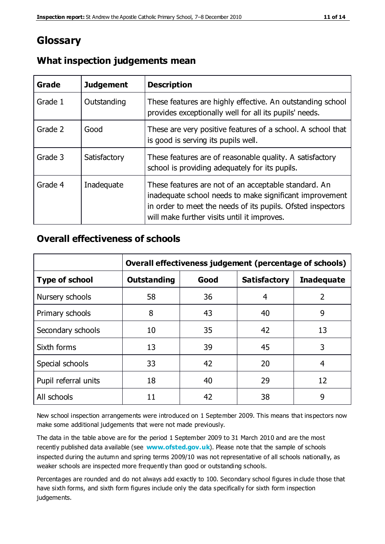## **Glossary**

| Grade   | <b>Judgement</b> | <b>Description</b>                                                                                                                                                                                                            |
|---------|------------------|-------------------------------------------------------------------------------------------------------------------------------------------------------------------------------------------------------------------------------|
| Grade 1 | Outstanding      | These features are highly effective. An outstanding school<br>provides exceptionally well for all its pupils' needs.                                                                                                          |
| Grade 2 | Good             | These are very positive features of a school. A school that<br>is good is serving its pupils well.                                                                                                                            |
| Grade 3 | Satisfactory     | These features are of reasonable quality. A satisfactory<br>school is providing adequately for its pupils.                                                                                                                    |
| Grade 4 | Inadequate       | These features are not of an acceptable standard. An<br>inadequate school needs to make significant improvement<br>in order to meet the needs of its pupils. Ofsted inspectors<br>will make further visits until it improves. |

#### **What inspection judgements mean**

#### **Overall effectiveness of schools**

|                       | Overall effectiveness judgement (percentage of schools) |      |                     |                   |
|-----------------------|---------------------------------------------------------|------|---------------------|-------------------|
| <b>Type of school</b> | <b>Outstanding</b>                                      | Good | <b>Satisfactory</b> | <b>Inadequate</b> |
| Nursery schools       | 58                                                      | 36   | 4                   | 2                 |
| Primary schools       | 8                                                       | 43   | 40                  | 9                 |
| Secondary schools     | 10                                                      | 35   | 42                  | 13                |
| Sixth forms           | 13                                                      | 39   | 45                  | 3                 |
| Special schools       | 33                                                      | 42   | 20                  | 4                 |
| Pupil referral units  | 18                                                      | 40   | 29                  | 12                |
| All schools           | 11                                                      | 42   | 38                  | 9                 |

New school inspection arrangements were introduced on 1 September 2009. This means that inspectors now make some additional judgements that were not made previously.

The data in the table above are for the period 1 September 2009 to 31 March 2010 and are the most recently published data available (see **[www.ofsted.gov.uk](http://www.ofsted.gov.uk/)**). Please note that the sample of schools inspected during the autumn and spring terms 2009/10 was not representative of all schools nationally, as weaker schools are inspected more frequently than good or outstanding schools.

Percentages are rounded and do not always add exactly to 100. Secondary school figures in clude those that have sixth forms, and sixth form figures include only the data specifically for sixth form inspection judgements.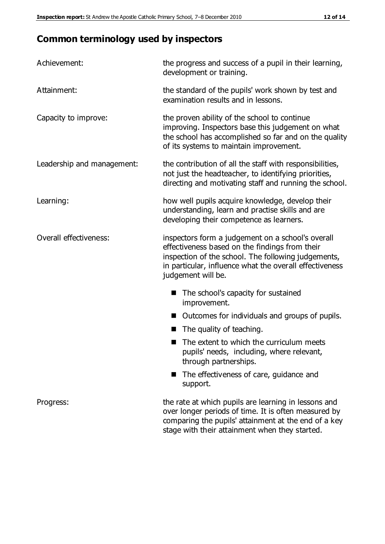# **Common terminology used by inspectors**

| Achievement:                  | the progress and success of a pupil in their learning,<br>development or training.                                                                                                                                                          |
|-------------------------------|---------------------------------------------------------------------------------------------------------------------------------------------------------------------------------------------------------------------------------------------|
| Attainment:                   | the standard of the pupils' work shown by test and<br>examination results and in lessons.                                                                                                                                                   |
| Capacity to improve:          | the proven ability of the school to continue<br>improving. Inspectors base this judgement on what<br>the school has accomplished so far and on the quality<br>of its systems to maintain improvement.                                       |
| Leadership and management:    | the contribution of all the staff with responsibilities,<br>not just the headteacher, to identifying priorities,<br>directing and motivating staff and running the school.                                                                  |
| Learning:                     | how well pupils acquire knowledge, develop their<br>understanding, learn and practise skills and are<br>developing their competence as learners.                                                                                            |
| <b>Overall effectiveness:</b> | inspectors form a judgement on a school's overall<br>effectiveness based on the findings from their<br>inspection of the school. The following judgements,<br>in particular, influence what the overall effectiveness<br>judgement will be. |
|                               | The school's capacity for sustained<br>improvement.                                                                                                                                                                                         |
|                               | Outcomes for individuals and groups of pupils.                                                                                                                                                                                              |
|                               | The quality of teaching.                                                                                                                                                                                                                    |
|                               | The extent to which the curriculum meets<br>pupils' needs, including, where relevant,<br>through partnerships.                                                                                                                              |
|                               | The effectiveness of care, guidance and<br>support.                                                                                                                                                                                         |
| Progress:                     | the rate at which pupils are learning in lessons and<br>over longer periods of time. It is often measured by<br>comparing the pupils' attainment at the end of a key                                                                        |

stage with their attainment when they started.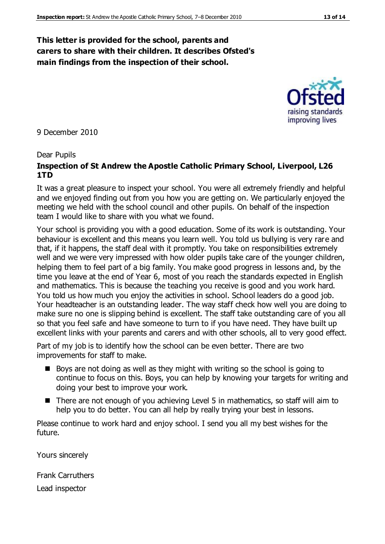#### **This letter is provided for the school, parents and carers to share with their children. It describes Ofsted's main findings from the inspection of their school.**

9 December 2010

#### Dear Pupils

#### **Inspection of St Andrew the Apostle Catholic Primary School, Liverpool, L26 1TD**

It was a great pleasure to inspect your school. You were all extremely friendly and helpful and we enjoyed finding out from you how you are getting on. We particularly enjoyed the meeting we held with the school council and other pupils. On behalf of the inspection team I would like to share with you what we found.

Your school is providing you with a good education. Some of its work is outstanding. Your behaviour is excellent and this means you learn well. You told us bullying is very rare and that, if it happens, the staff deal with it promptly. You take on responsibilities extremely well and we were very impressed with how older pupils take care of the younger children, helping them to feel part of a big family. You make good progress in lessons and, by the time you leave at the end of Year 6, most of you reach the standards expected in English and mathematics. This is because the teaching you receive is good and you work hard. You told us how much you enjoy the activities in school. School leaders do a good job. Your headteacher is an outstanding leader. The way staff check how well you are doing to make sure no one is slipping behind is excellent. The staff take outstanding care of you all so that you feel safe and have someone to turn to if you have need. They have built up excellent links with your parents and carers and with other schools, all to very good effect.

Part of my job is to identify how the school can be even better. There are two improvements for staff to make.

- Boys are not doing as well as they might with writing so the school is going to continue to focus on this. Boys, you can help by knowing your targets for writing and doing your best to improve your work.
- There are not enough of you achieving Level 5 in mathematics, so staff will aim to help you to do better. You can all help by really trying your best in lessons.

Please continue to work hard and enjoy school. I send you all my best wishes for the future.

Yours sincerely

Frank Carruthers Lead inspector